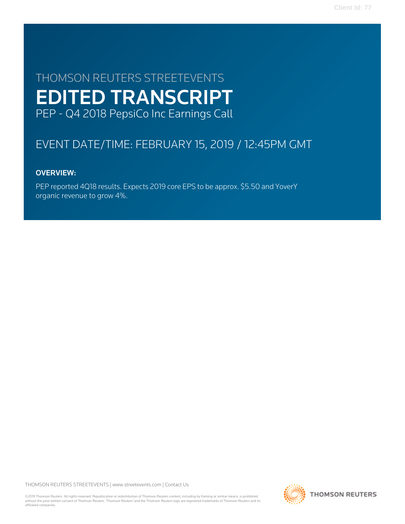# THOMSON REUTERS STREETEVENTS EDITED TRANSCRIPT PEP - Q4 2018 PepsiCo Inc Earnings Call

# EVENT DATE/TIME: FEBRUARY 15, 2019 / 12:45PM GMT

# OVERVIEW:

PEP reported 4Q18 results. Expects 2019 core EPS to be approx. \$5.50 and YoverY organic revenue to grow 4%.

THOMSON REUTERS STREETEVENTS | [www.streetevents.com](http://www.streetevents.com) | [Contact Us](http://www010.streetevents.com/contact.asp)

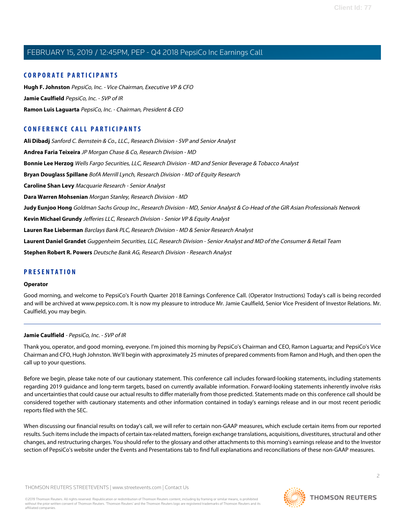#### **CORPORATE PARTICIPANTS**

**[Hugh F. Johnston](#page-6-0)** PepsiCo, Inc. - Vice Chairman, Executive VP & CFO **[Jamie Caulfield](#page-1-0)** PepsiCo, Inc. - SVP of IR **[Ramon Luis Laguarta](#page-2-0)** PepsiCo, Inc. - Chairman, President & CEO

## **CONFERENCE CALL PARTICIPANTS**

**[Ali Dibadj](#page-8-0)** Sanford C. Bernstein & Co., LLC., Research Division - SVP and Senior Analyst **[Andrea Faria Teixeira](#page-10-0)** JP Morgan Chase & Co, Research Division - MD **[Bonnie Lee Herzog](#page-12-0)** Wells Fargo Securities, LLC, Research Division - MD and Senior Beverage & Tobacco Analyst **[Bryan Douglass Spillane](#page-7-0)** BofA Merrill Lynch, Research Division - MD of Equity Research **[Caroline Shan Levy](#page-11-0)** Macquarie Research - Senior Analyst **[Dara Warren Mohsenian](#page-7-1)** Morgan Stanley, Research Division - MD **[Judy Eunjoo Hong](#page-9-0)** Goldman Sachs Group Inc., Research Division - MD, Senior Analyst & Co-Head of the GIR Asian Professionals Network **[Kevin Michael Grundy](#page-13-0)** Jefferies LLC, Research Division - Senior VP & Equity Analyst **[Lauren Rae Lieberman](#page-8-1)** Barclays Bank PLC, Research Division - MD & Senior Research Analyst **[Laurent Daniel Grandet](#page-13-1)** Guggenheim Securities, LLC, Research Division - Senior Analyst and MD of the Consumer & Retail Team **[Stephen Robert R. Powers](#page-10-1)** Deutsche Bank AG, Research Division - Research Analyst

### **PRESENTATION**

#### **Operator**

<span id="page-1-0"></span>Good morning, and welcome to PepsiCo's Fourth Quarter 2018 Earnings Conference Call. (Operator Instructions) Today's call is being recorded and will be archived at www.pepsico.com. It is now my pleasure to introduce Mr. Jamie Caulfield, Senior Vice President of Investor Relations. Mr. Caulfield, you may begin.

#### **Jamie Caulfield** - PepsiCo, Inc. - SVP of IR

Thank you, operator, and good morning, everyone. I'm joined this morning by PepsiCo's Chairman and CEO, Ramon Laguarta; and PepsiCo's Vice Chairman and CFO, Hugh Johnston. We'll begin with approximately 25 minutes of prepared comments from Ramon and Hugh, and then open the call up to your questions.

Before we begin, please take note of our cautionary statement. This conference call includes forward-looking statements, including statements regarding 2019 guidance and long-term targets, based on currently available information. Forward-looking statements inherently involve risks and uncertainties that could cause our actual results to differ materially from those predicted. Statements made on this conference call should be considered together with cautionary statements and other information contained in today's earnings release and in our most recent periodic reports filed with the SEC.

When discussing our financial results on today's call, we will refer to certain non-GAAP measures, which exclude certain items from our reported results. Such items include the impacts of certain tax-related matters, foreign exchange translations, acquisitions, divestitures, structural and other changes, and restructuring charges. You should refer to the glossary and other attachments to this morning's earnings release and to the Investor section of PepsiCo's website under the Events and Presentations tab to find full explanations and reconciliations of these non-GAAP measures.

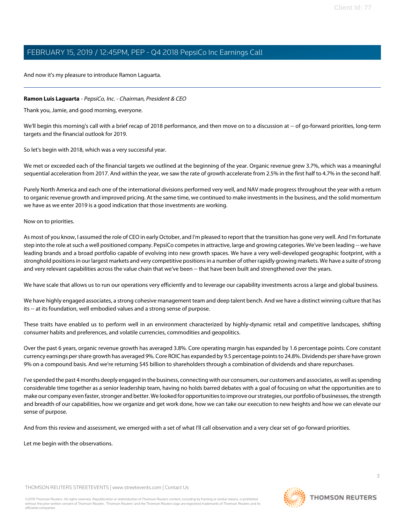And now it's my pleasure to introduce Ramon Laguarta.

#### <span id="page-2-0"></span>**Ramon Luis Laguarta** - PepsiCo, Inc. - Chairman, President & CEO

Thank you, Jamie, and good morning, everyone.

We'll begin this morning's call with a brief recap of 2018 performance, and then move on to a discussion at -- of go-forward priorities, long-term targets and the financial outlook for 2019.

So let's begin with 2018, which was a very successful year.

We met or exceeded each of the financial targets we outlined at the beginning of the year. Organic revenue grew 3.7%, which was a meaningful sequential acceleration from 2017. And within the year, we saw the rate of growth accelerate from 2.5% in the first half to 4.7% in the second half.

Purely North America and each one of the international divisions performed very well, and NAV made progress throughout the year with a return to organic revenue growth and improved pricing. At the same time, we continued to make investments in the business, and the solid momentum we have as we enter 2019 is a good indication that those investments are working.

#### Now on to priorities.

As most of you know, I assumed the role of CEO in early October, and I'm pleased to report that the transition has gone very well. And I'm fortunate step into the role at such a well positioned company. PepsiCo competes in attractive, large and growing categories. We've been leading -- we have leading brands and a broad portfolio capable of evolving into new growth spaces. We have a very well-developed geographic footprint, with a stronghold positions in our largest markets and very competitive positions in a number of other rapidly growing markets. We have a suite of strong and very relevant capabilities across the value chain that we've been -- that have been built and strengthened over the years.

We have scale that allows us to run our operations very efficiently and to leverage our capability investments across a large and global business.

We have highly engaged associates, a strong cohesive management team and deep talent bench. And we have a distinct winning culture that has its -- at its foundation, well embodied values and a strong sense of purpose.

These traits have enabled us to perform well in an environment characterized by highly-dynamic retail and competitive landscapes, shifting consumer habits and preferences, and volatile currencies, commodities and geopolitics.

Over the past 6 years, organic revenue growth has averaged 3.8%. Core operating margin has expanded by 1.6 percentage points. Core constant currency earnings per share growth has averaged 9%. Core ROIC has expanded by 9.5 percentage points to 24.8%. Dividends per share have grown 9% on a compound basis. And we're returning \$45 billion to shareholders through a combination of dividends and share repurchases.

I've spended the past 4 months deeply engaged in the business, connecting with our consumers, our customers and associates, as well as spending considerable time together as a senior leadership team, having no holds barred debates with a goal of focusing on what the opportunities are to make our company even faster, stronger and better. We looked for opportunities to improve our strategies, our portfolio of businesses, the strength and breadth of our capabilities, how we organize and get work done, how we can take our execution to new heights and how we can elevate our sense of purpose.

And from this review and assessment, we emerged with a set of what I'll call observation and a very clear set of go-forward priorities.

Let me begin with the observations.

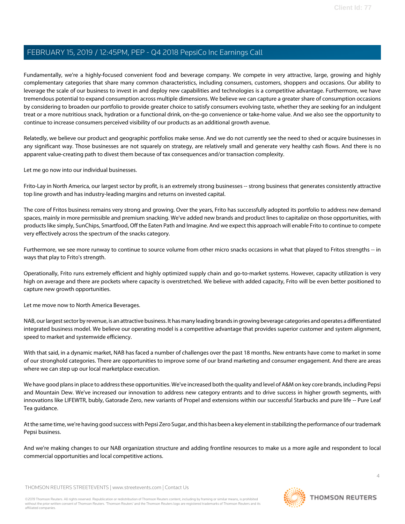Fundamentally, we're a highly-focused convenient food and beverage company. We compete in very attractive, large, growing and highly complementary categories that share many common characteristics, including consumers, customers, shoppers and occasions. Our ability to leverage the scale of our business to invest in and deploy new capabilities and technologies is a competitive advantage. Furthermore, we have tremendous potential to expand consumption across multiple dimensions. We believe we can capture a greater share of consumption occasions by considering to broaden our portfolio to provide greater choice to satisfy consumers evolving taste, whether they are seeking for an indulgent treat or a more nutritious snack, hydration or a functional drink, on-the-go convenience or take-home value. And we also see the opportunity to continue to increase consumers perceived visibility of our products as an additional growth avenue.

Relatedly, we believe our product and geographic portfolios make sense. And we do not currently see the need to shed or acquire businesses in any significant way. Those businesses are not squarely on strategy, are relatively small and generate very healthy cash flows. And there is no apparent value-creating path to divest them because of tax consequences and/or transaction complexity.

Let me go now into our individual businesses.

Frito-Lay in North America, our largest sector by profit, is an extremely strong businesses -- strong business that generates consistently attractive top line growth and has industry-leading margins and returns on invested capital.

The core of Fritos business remains very strong and growing. Over the years, Frito has successfully adopted its portfolio to address new demand spaces, mainly in more permissible and premium snacking. We've added new brands and product lines to capitalize on those opportunities, with products like simply, SunChips, Smartfood, Off the Eaten Path and Imagine. And we expect this approach will enable Frito to continue to compete very effectively across the spectrum of the snacks category.

Furthermore, we see more runway to continue to source volume from other micro snacks occasions in what that played to Fritos strengths -- in ways that play to Frito's strength.

Operationally, Frito runs extremely efficient and highly optimized supply chain and go-to-market systems. However, capacity utilization is very high on average and there are pockets where capacity is overstretched. We believe with added capacity, Frito will be even better positioned to capture new growth opportunities.

Let me move now to North America Beverages.

NAB, our largest sector by revenue, is an attractive business. It has many leading brands in growing beverage categories and operates a differentiated integrated business model. We believe our operating model is a competitive advantage that provides superior customer and system alignment, speed to market and systemwide efficiency.

With that said, in a dynamic market, NAB has faced a number of challenges over the past 18 months. New entrants have come to market in some of our stronghold categories. There are opportunities to improve some of our brand marketing and consumer engagement. And there are areas where we can step up our local marketplace execution.

We have good plans in place to address these opportunities. We've increased both the quality and level of A&M on key core brands, including Pepsi and Mountain Dew. We've increased our innovation to address new category entrants and to drive success in higher growth segments, with innovations like LIFEWTR, bubly, Gatorade Zero, new variants of Propel and extensions within our successful Starbucks and pure life -- Pure Leaf Tea guidance.

At the same time, we're having good success with Pepsi Zero Sugar, and this has been a key element in stabilizing the performance of our trademark Pepsi business.

And we're making changes to our NAB organization structure and adding frontline resources to make us a more agile and respondent to local commercial opportunities and local competitive actions.

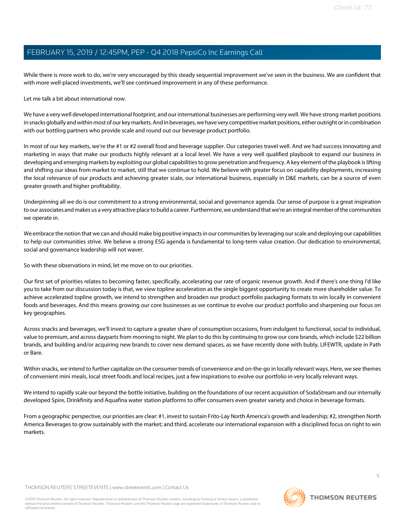While there is more work to do, we're very encouraged by this steady sequential improvement we've seen in the business. We are confident that with more well-placed investments, we'll see continued improvement in any of these performance.

Let me talk a bit about international now.

We have a very well developed international footprint, and our international businesses are performing very well. We have strong market positions in snacks globally and within most of our key markets. And in beverages, we have very competitive market positions, either outright or in combination with our bottling partners who provide scale and round out our beverage product portfolio.

In most of our key markets, we're the #1 or #2 overall food and beverage supplier. Our categories travel well. And we had success innovating and marketing in ways that make our products highly relevant at a local level. We have a very well qualified playbook to expand our business in developing and emerging markets by exploiting our global capabilities to grow penetration and frequency. A key element of the playbook is lifting and shifting our ideas from market to market, still that we continue to hold. We believe with greater focus on capability deployments, increasing the local relevance of our products and achieving greater scale, our international business, especially in D&E markets, can be a source of even greater growth and higher profitability.

Underpinning all we do is our commitment to a strong environmental, social and governance agenda. Our sense of purpose is a great inspiration to our associates and makes us a very attractive place to build a career. Furthermore, we understand that we're an integral member of the communities we operate in.

We embrace the notion that we can and should make big positive impacts in our communities by leveraging our scale and deploying our capabilities to help our communities strive. We believe a strong ESG agenda is fundamental to long-term value creation. Our dedication to environmental, social and governance leadership will not waver.

So with these observations in mind, let me move on to our priorities.

Our first set of priorities relates to becoming faster, specifically, accelerating our rate of organic revenue growth. And if there's one thing I'd like you to take from our discussion today is that, we view topline acceleration as the single biggest opportunity to create more shareholder value. To achieve accelerated topline growth, we intend to strengthen and broaden our product portfolio packaging formats to win locally in convenient foods and beverages. And this means growing our core businesses as we continue to evolve our product portfolio and sharpening our focus on key geographies.

Across snacks and beverages, we'll invest to capture a greater share of consumption occasions, from indulgent to functional, social to individual, value to premium, and across dayparts from morning to night. We plan to do this by continuing to grow our core brands, which include \$22 billion brands, and building and/or acquiring new brands to cover new demand spaces, as we have recently done with bubly, LIFEWTR, update in Path or Bare.

Within snacks, we intend to further capitalize on the consumer trends of convenience and on-the-go in locally relevant ways. Here, we see themes of convenient mini meals, local street foods and local recipes, just a few inspirations to evolve our portfolio in very locally relevant ways.

We intend to rapidly scale our beyond the bottle initiative, building on the foundations of our recent acquisition of SodaStream and our internally developed Spire, Drinkfinity and Aquafina water station platforms to offer consumers even greater variety and choice in beverage formats.

From a geographic perspective, our priorities are clear: #1, invest to sustain Frito-Lay North America's growth and leadership; #2, strengthen North America Beverages to grow sustainably with the market; and third, accelerate our international expansion with a disciplined focus on right to win markets.

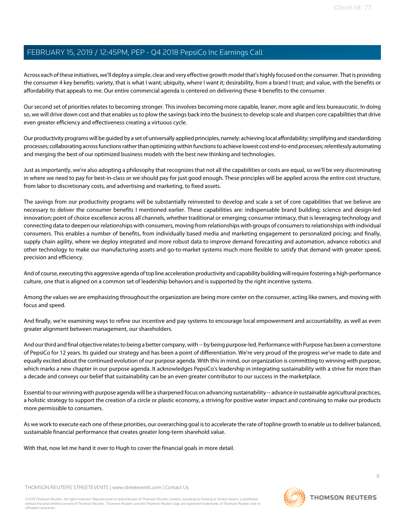Across each of these initiatives, we'll deploy a simple, clear and very effective growth model that's highly focused on the consumer. That is providing the consumer 4 key benefits: variety, that is what I want; ubiquity, where I want it; desirability, from a brand I trust; and value, with the benefits or affordability that appeals to me. Our entire commercial agenda is centered on delivering these 4 benefits to the consumer.

Our second set of priorities relates to becoming stronger. This involves becoming more capable, leaner, more agile and less bureaucratic. In doing so, we will drive down cost and that enables us to plow the savings back into the business to develop scale and sharpen core capabilities that drive even greater efficiency and effectiveness creating a virtuous cycle.

Our productivity programs will be guided by a set of universally applied principles, namely: achieving local affordability; simplifying and standardizing processes; collaborating across functions rather than optimizing within functions to achieve lowest cost end-to-end processes; relentlessly automating and merging the best of our optimized business models with the best new thinking and technologies.

Just as importantly, we're also adopting a philosophy that recognizes that not all the capabilities or costs are equal, so we'll be very discriminating in where we need to pay for best-in-class or we should pay for just good enough. These principles will be applied across the entire cost structure, from labor to discretionary costs, and advertising and marketing, to fixed assets.

The savings from our productivity programs will be substantially reinvested to develop and scale a set of core capabilities that we believe are necessary to deliver the consumer benefits I mentioned earlier. These capabilities are: indispensable brand building; science and design-led innovation; point of choice excellence across all channels, whether traditional or emerging; consumer intimacy, that is leveraging technology and connecting data to deepen our relationships with consumers, moving from relationships with groups of consumers to relationships with individual consumers. This enables a number of benefits, from individually based media and marketing engagement to personalized pricing; and finally, supply chain agility, where we deploy integrated and more robust data to improve demand forecasting and automation, advance robotics and other technology to make our manufacturing assets and go-to-market systems much more flexible to satisfy that demand with greater speed, precision and efficiency.

And of course, executing this aggressive agenda of top line acceleration productivity and capability building will require fostering a high-performance culture, one that is aligned on a common set of leadership behaviors and is supported by the right incentive systems.

Among the values we are emphasizing throughout the organization are being more center on the consumer, acting like owners, and moving with focus and speed.

And finally, we're examining ways to refine our incentive and pay systems to encourage local empowerment and accountability, as well as even greater alignment between management, our shareholders.

And our third and final objective relates to being a better company, with -- by being purpose-led. Performance with Purpose has been a cornerstone of PepsiCo for 12 years. Its guided our strategy and has been a point of differentiation. We're very proud of the progress we've made to date and equally excited about the continued evolution of our purpose agenda. With this in mind, our organization is committing to winning with purpose, which marks a new chapter in our purpose agenda. It acknowledges PepsiCo's leadership in integrating sustainability with a strive for more than a decade and conveys our belief that sustainability can be an even greater contributor to our success in the marketplace.

Essential to our winning with purpose agenda will be a sharpened focus on advancing sustainability -- advance in sustainable agricultural practices, a holistic strategy to support the creation of a circle or plastic economy, a striving for positive water impact and continuing to make our products more permissible to consumers.

As we work to execute each one of these priorities, our overarching goal is to accelerate the rate of topline growth to enable us to deliver balanced, sustainable financial performance that creates greater long-term sharehold value.

With that, now let me hand it over to Hugh to cover the financial goals in more detail.

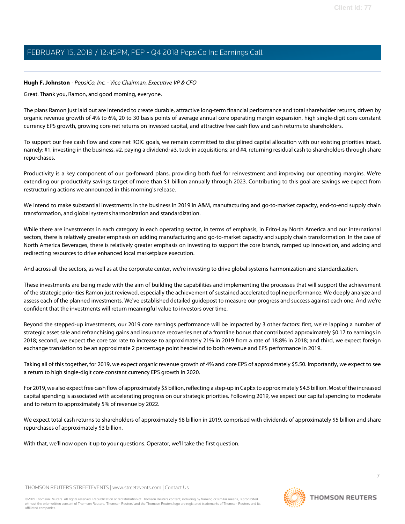#### <span id="page-6-0"></span>**Hugh F. Johnston** - PepsiCo, Inc. - Vice Chairman, Executive VP & CFO

Great. Thank you, Ramon, and good morning, everyone.

The plans Ramon just laid out are intended to create durable, attractive long-term financial performance and total shareholder returns, driven by organic revenue growth of 4% to 6%, 20 to 30 basis points of average annual core operating margin expansion, high single-digit core constant currency EPS growth, growing core net returns on invested capital, and attractive free cash flow and cash returns to shareholders.

To support our free cash flow and core net ROIC goals, we remain committed to disciplined capital allocation with our existing priorities intact, namely: #1, investing in the business, #2, paying a dividend; #3, tuck-in acquisitions; and #4, returning residual cash to shareholders through share repurchases.

Productivity is a key component of our go-forward plans, providing both fuel for reinvestment and improving our operating margins. We're extending our productivity savings target of more than \$1 billion annually through 2023. Contributing to this goal are savings we expect from restructuring actions we announced in this morning's release.

We intend to make substantial investments in the business in 2019 in A&M, manufacturing and go-to-market capacity, end-to-end supply chain transformation, and global systems harmonization and standardization.

While there are investments in each category in each operating sector, in terms of emphasis, in Frito-Lay North America and our international sectors, there is relatively greater emphasis on adding manufacturing and go-to-market capacity and supply chain transformation. In the case of North America Beverages, there is relatively greater emphasis on investing to support the core brands, ramped up innovation, and adding and redirecting resources to drive enhanced local marketplace execution.

And across all the sectors, as well as at the corporate center, we're investing to drive global systems harmonization and standardization.

These investments are being made with the aim of building the capabilities and implementing the processes that will support the achievement of the strategic priorities Ramon just reviewed, especially the achievement of sustained accelerated topline performance. We deeply analyze and assess each of the planned investments. We've established detailed guidepost to measure our progress and success against each one. And we're confident that the investments will return meaningful value to investors over time.

Beyond the stepped-up investments, our 2019 core earnings performance will be impacted by 3 other factors: first, we're lapping a number of strategic asset sale and refranchising gains and insurance recoveries net of a frontline bonus that contributed approximately \$0.17 to earnings in 2018; second, we expect the core tax rate to increase to approximately 21% in 2019 from a rate of 18.8% in 2018; and third, we expect foreign exchange translation to be an approximate 2 percentage point headwind to both revenue and EPS performance in 2019.

Taking all of this together, for 2019, we expect organic revenue growth of 4% and core EPS of approximately \$5.50. Importantly, we expect to see a return to high single-digit core constant currency EPS growth in 2020.

For 2019, we also expect free cash flow of approximately \$5 billion, reflecting a step-up in CapEx to approximately \$4.5 billion. Most of the increased capital spending is associated with accelerating progress on our strategic priorities. Following 2019, we expect our capital spending to moderate and to return to approximately 5% of revenue by 2022.

We expect total cash returns to shareholders of approximately \$8 billion in 2019, comprised with dividends of approximately \$5 billion and share repurchases of approximately \$3 billion.

With that, we'll now open it up to your questions. Operator, we'll take the first question.

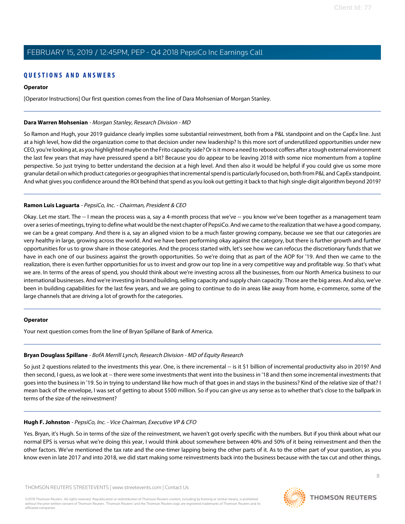### **QUESTIONS AND ANSWERS**

#### **Operator**

[Operator Instructions] Our first question comes from the line of Dara Mohsenian of Morgan Stanley.

#### <span id="page-7-1"></span>**Dara Warren Mohsenian** - Morgan Stanley, Research Division - MD

So Ramon and Hugh, your 2019 guidance clearly implies some substantial reinvestment, both from a P&L standpoint and on the CapEx line. Just at a high level, how did the organization come to that decision under new leadership? Is this more sort of underutilized opportunities under new CEO, you're looking at, as you highlighted maybe on the Frito capacity side? Or is it more a need to reboost coffers after a tough external environment the last few years that may have pressured spend a bit? Because you do appear to be leaving 2018 with some nice momentum from a topline perspective. So just trying to better understand the decision at a high level. And then also it would be helpful if you could give us some more granular detail on which product categories or geographies that incremental spend is particularly focused on, both from P&L and CapEx standpoint. And what gives you confidence around the ROI behind that spend as you look out getting it back to that high single-digit algorithm beyond 2019?

#### **Ramon Luis Laguarta** - PepsiCo, Inc. - Chairman, President & CEO

Okay. Let me start. The -- I mean the process was a, say a 4-month process that we've -- you know we've been together as a management team over a series of meetings, trying to define what would be the next chapter of PepsiCo. And we came to the realization that we have a good company, we can be a great company. And there is a, say an aligned vision to be a much faster growing company, because we see that our categories are very healthy in large, growing across the world. And we have been performing okay against the category, but there is further growth and further opportunities for us to grow share in those categories. And the process started with, let's see how we can refocus the discretionary funds that we have in each one of our business against the growth opportunities. So we're doing that as part of the AOP for '19. And then we came to the realization, there is even further opportunities for us to invest and grow our top line in a very competitive way and profitable way. So that's what we are. In terms of the areas of spend, you should think about we're investing across all the businesses, from our North America business to our international businesses. And we're investing in brand building, selling capacity and supply chain capacity. Those are the big areas. And also, we've been in building capabilities for the last few years, and we are going to continue to do in areas like away from home, e-commerce, some of the large channels that are driving a lot of growth for the categories.

#### <span id="page-7-0"></span>**Operator**

Your next question comes from the line of Bryan Spillane of Bank of America.

#### **Bryan Douglass Spillane** - BofA Merrill Lynch, Research Division - MD of Equity Research

So just 2 questions related to the investments this year. One, is there incremental -- is it \$1 billion of incremental productivity also in 2019? And then second, I guess, as we look at -- there were some investments that went into the business in '18 and then some incremental investments that goes into the business in '19. So in trying to understand like how much of that goes in and stays in the business? Kind of the relative size of that? I mean back of the envelope, I was set of getting to about \$500 million. So if you can give us any sense as to whether that's close to the ballpark in terms of the size of the reinvestment?

#### **Hugh F. Johnston** - PepsiCo, Inc. - Vice Chairman, Executive VP & CFO

Yes. Bryan, it's Hugh. So in terms of the size of the reinvestment, we haven't got overly specific with the numbers. But if you think about what our normal EPS is versus what we're doing this year, I would think about somewhere between 40% and 50% of it being reinvestment and then the other factors. We've mentioned the tax rate and the one-timer lapping being the other parts of it. As to the other part of your question, as you know even in late 2017 and into 2018, we did start making some reinvestments back into the business because with the tax cut and other things,

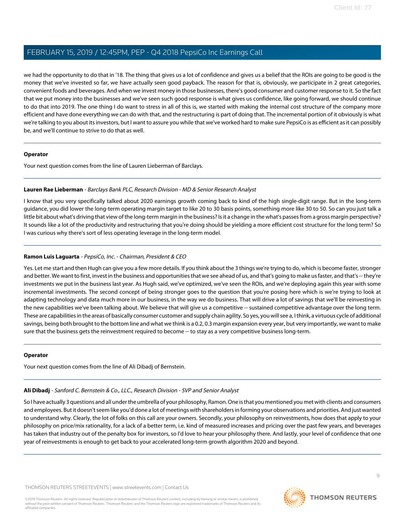we had the opportunity to do that in '18. The thing that gives us a lot of confidence and gives us a belief that the ROIs are going to be good is the money that we've invested so far, we have actually seen good payback. The reason for that is, obviously, we participate in 2 great categories, convenient foods and beverages. And when we invest money in those businesses, there's good consumer and customer response to it. So the fact that we put money into the businesses and we've seen such good response is what gives us confidence, like going forward, we should continue to do that into 2019. The one thing I do want to stress in all of this is, we started with making the internal cost structure of the company more efficient and have done everything we can do with that, and the restructuring is part of doing that. The incremental portion of it obviously is what we're talking to you about its investors, but I want to assure you while that we've worked hard to make sure PepsiCo is as efficient as it can possibly be, and we'll continue to strive to do that as well.

#### **Operator**

<span id="page-8-1"></span>Your next question comes from the line of Lauren Lieberman of Barclays.

#### **Lauren Rae Lieberman** - Barclays Bank PLC, Research Division - MD & Senior Research Analyst

I know that you very specifically talked about 2020 earnings growth coming back to kind of the high single-digit range. But in the long-term guidance, you did lower the long-term operating margin target to like 20 to 30 basis points, something more like 30 to 50. So can you just talk a little bit about what's driving that view of the long-term margin in the business? Is it a change in the what's passes from a gross margin perspective? It sounds like a lot of the productivity and restructuring that you're doing should be yielding a more efficient cost structure for the long term? So I was curious why there's sort of less operating leverage in the long-term model.

#### **Ramon Luis Laguarta** - PepsiCo, Inc. - Chairman, President & CEO

Yes. Let me start and then Hugh can give you a few more details. If you think about the 3 things we're trying to do, which is become faster, stronger and better. We want to first, invest in the business and opportunities that we see ahead of us, and that's going to make us faster, and that's -- they're investments we put in the business last year. As Hugh said, we've optimized, we've seen the ROIs, and we're deploying again this year with some incremental investments. The second concept of being stronger goes to the question that you're posing here which is we're trying to look at adapting technology and data much more in our business, in the way we do business. That will drive a lot of savings that we'll be reinvesting in the new capabilities we've been talking about. We believe that will give us a competitive -- sustained competitive advantage over the long term. These are capabilities in the areas of basically consumer customer and supply chain agility. So yes, you will see a, I think, a virtuous cycle of additional savings, being both brought to the bottom line and what we think is a 0.2, 0.3 margin expansion every year, but very importantly, we want to make sure that the business gets the reinvestment required to become -- to stay as a very competitive business long-term.

#### <span id="page-8-0"></span>**Operator**

Your next question comes from the line of Ali Dibadj of Bernstein.

#### **Ali Dibadj** - Sanford C. Bernstein & Co., LLC., Research Division - SVP and Senior Analyst

So I have actually 3 questions and all under the umbrella of your philosophy, Ramon. One is that you mentioned you met with clients and consumers and employees. But it doesn't seem like you'd done a lot of meetings with shareholders in forming your observations and priorities. And just wanted to understand why. Clearly, the lot of folks on this call are your owners. Secondly, your philosophy on reinvestments, how does that apply to your philosophy on price/mix rationality, for a lack of a better term, i.e. kind of measured increases and pricing over the past few years, and beverages has taken that industry out of the penalty box for investors, so I'd love to hear your philosophy there. And lastly, your level of confidence that one year of reinvestments is enough to get back to your accelerated long-term growth algorithm 2020 and beyond.

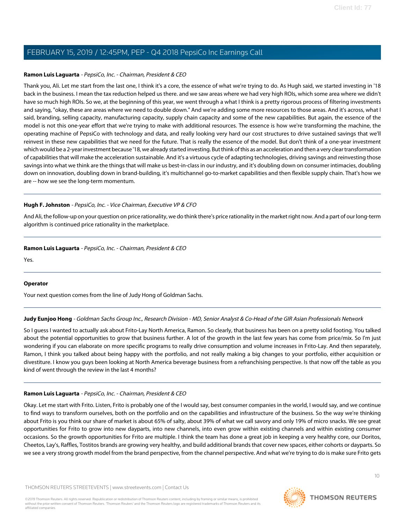#### **Ramon Luis Laguarta** - PepsiCo, Inc. - Chairman, President & CEO

Thank you, Ali. Let me start from the last one, I think it's a core, the essence of what we're trying to do. As Hugh said, we started investing in '18 back in the business. I mean the tax reduction helped us there. and we saw areas where we had very high ROIs, which some area where we didn't have so much high ROIs. So we, at the beginning of this year, we went through a what I think is a pretty rigorous process of filtering investments and saying, "okay, these are areas where we need to double down." And we're adding some more resources to those areas. And it's across, what I said, branding, selling capacity, manufacturing capacity, supply chain capacity and some of the new capabilities. But again, the essence of the model is not this one-year effort that we're trying to make with additional resources. The essence is how we're transforming the machine, the operating machine of PepsiCo with technology and data, and really looking very hard our cost structures to drive sustained savings that we'll reinvest in these new capabilities that we need for the future. That is really the essence of the model. But don't think of a one-year investment which would be a 2-year investment because '18, we already started investing. But think of this as an acceleration and then a very clear transformation of capabilities that will make the acceleration sustainable. And it's a virtuous cycle of adapting technologies, driving savings and reinvesting those savings into what we think are the things that will make us best-in-class in our industry, and it's doubling down on consumer intimacies, doubling down on innovation, doubling down in brand-building, it's multichannel go-to-market capabilities and then flexible supply chain. That's how we are -- how we see the long-term momentum.

#### **Hugh F. Johnston** - PepsiCo, Inc. - Vice Chairman, Executive VP & CFO

And Ali, the follow-up on your question on price rationality, we do think there's price rationality in the market right now. And a part of our long-term algorithm is continued price rationality in the marketplace.

#### **Ramon Luis Laguarta** - PepsiCo, Inc. - Chairman, President & CEO

Yes.

#### <span id="page-9-0"></span>**Operator**

Your next question comes from the line of Judy Hong of Goldman Sachs.

#### **Judy Eunjoo Hong** - Goldman Sachs Group Inc., Research Division - MD, Senior Analyst & Co-Head of the GIR Asian Professionals Network

So I guess I wanted to actually ask about Frito-Lay North America, Ramon. So clearly, that business has been on a pretty solid footing. You talked about the potential opportunities to grow that business further. A lot of the growth in the last few years has come from price/mix. So I'm just wondering if you can elaborate on more specific programs to really drive consumption and volume increases in Frito-Lay. And then separately, Ramon, I think you talked about being happy with the portfolio, and not really making a big changes to your portfolio, either acquisition or divestiture. I know you guys been looking at North America beverage business from a refranchising perspective. Is that now off the table as you kind of went through the review in the last 4 months?

#### **Ramon Luis Laguarta** - PepsiCo, Inc. - Chairman, President & CEO

Okay. Let me start with Frito. Listen, Frito is probably one of the I would say, best consumer companies in the world, I would say, and we continue to find ways to transform ourselves, both on the portfolio and on the capabilities and infrastructure of the business. So the way we're thinking about Frito is you think our share of market is about 65% of salty, about 39% of what we call savory and only 19% of micro snacks. We see great opportunities for Frito to grow into new dayparts, into new channels, into even grow within existing channels and within existing consumer occasions. So the growth opportunities for Frito are multiple. I think the team has done a great job in keeping a very healthy core, our Doritos, Cheetos, Lay's, Raffles, Tostitos brands are growing very healthy, and build additional brands that cover new spaces, either cohorts or dayparts. So we see a very strong growth model from the brand perspective, from the channel perspective. And what we're trying to do is make sure Frito gets

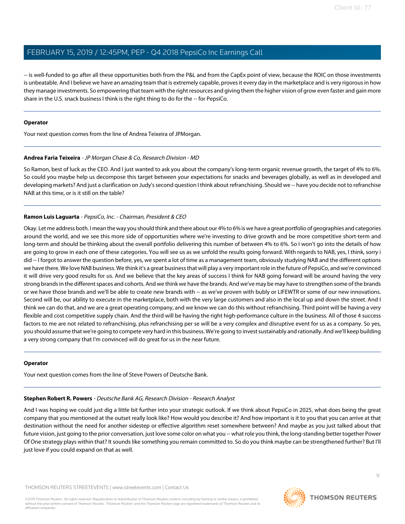-- is well-funded to go after all these opportunities both from the P&L and from the CapEx point of view, because the ROIC on those investments is unbeatable. And I believe we have an amazing team that is extremely capable, proves it every day in the marketplace and is very rigorous in how they manage investments. So empowering that team with the right resources and giving them the higher vision of grow even faster and gain more share in the U.S. snack business I think is the right thing to do for the -- for PepsiCo.

#### **Operator**

<span id="page-10-0"></span>Your next question comes from the line of Andrea Teixeira of JPMorgan.

#### **Andrea Faria Teixeira** - JP Morgan Chase & Co, Research Division - MD

So Ramon, best of luck as the CEO. And I just wanted to ask you about the company's long-term organic revenue growth, the target of 4% to 6%. So could you maybe help us decompose this target between your expectations for snacks and beverages globally, as well as in developed and developing markets? And just a clarification on Judy's second question I think about refranchising. Should we -- have you decide not to refranchise NAB at this time, or is it still on the table?

#### **Ramon Luis Laguarta** - PepsiCo, Inc. - Chairman, President & CEO

Okay. Let me address both. I mean the way you should think and there about our 4% to 6% is we have a great portfolio of geographies and categories around the world, and we see this more side of opportunities where we're investing to drive growth and be more competitive short-term and long-term and should be thinking about the overall portfolio delivering this number of between 4% to 6%. So I won't go into the details of how are going to grow in each one of these categories. You will see us as we unfold the results going forward. With regards to NAB, yes, I think, sorry i did -- I forgot to answer the question before, yes, we spent a lot of time as a management team, obviously studying NAB and the different options we have there. We love NAB business. We think it's a great business that will play a very important role in the future of PepsiCo, and we're convinced it will drive very good results for us. And we believe that the key areas of success I think for NAB going forward will be around having the very strong brands in the different spaces and cohorts. And we think we have the brands. And we've may be may have to strengthen some of the brands or we have those brands and we'll be able to create new brands with -- as we've proven with bubly or LIFEWTR or some of our new innovations. Second will be, our ability to execute in the marketplace, both with the very large customers and also in the local up and down the street. And I think we can do that, and we are a great operating company, and we know we can do this without refranchising. Third point will be having a very flexible and cost competitive supply chain. And the third will be having the right high-performance culture in the business. All of those 4 success factors to me are not related to refranchising, plus refranchising per se will be a very complex and disruptive event for us as a company. So yes, you should assume that we're going to compete very hard in this business. We're going to invest sustainably and rationally. And we'll keep building a very strong company that I'm convinced will do great for us in the near future.

#### <span id="page-10-1"></span>**Operator**

Your next question comes from the line of Steve Powers of Deutsche Bank.

#### **Stephen Robert R. Powers** - Deutsche Bank AG, Research Division - Research Analyst

And I was hoping we could just dig a little bit further into your strategic outlook. If we think about PepsiCo in 2025, what does being the great company that you mentioned at the outset really look like? How would you describe it? And how important is it to you that you can arrive at that destination without the need for another sidestep or effective algorithm reset somewhere between? And maybe as you just talked about that future vision, just going to the prior conversation, just love some color on what you -- what role you think, the long-standing better together Power Of One strategy plays within that? It sounds like something you remain committed to. So do you think maybe can be strengthened further? But I'll just love if you could expand on that as well.

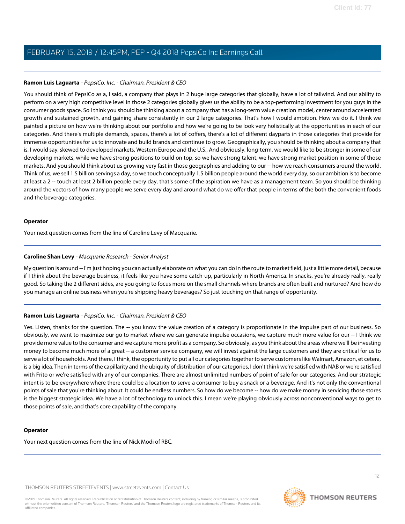#### **Ramon Luis Laguarta** - PepsiCo, Inc. - Chairman, President & CEO

You should think of PepsiCo as a, I said, a company that plays in 2 huge large categories that globally, have a lot of tailwind. And our ability to perform on a very high competitive level in those 2 categories globally gives us the ability to be a top-performing investment for you guys in the consumer goods space. So I think you should be thinking about a company that has a long-term value creation model, center around accelerated growth and sustained growth, and gaining share consistently in our 2 large categories. That's how I would ambition. How we do it. I think we painted a picture on how we're thinking about our portfolio and how we're going to be look very holistically at the opportunities in each of our categories. And there's multiple demands, spaces, there's a lot of coffers, there's a lot of different dayparts in those categories that provide for immense opportunities for us to innovate and build brands and continue to grow. Geographically, you should be thinking about a company that is, I would say, skewed to developed markets, Western Europe and the U.S., And obviously, long-term, we would like to be stronger in some of our developing markets, while we have strong positions to build on top, so we have strong talent, we have strong market position in some of those markets. And you should think about us growing very fast in those geographies and adding to our -- how we reach consumers around the world. Think of us, we sell 1.5 billion servings a day, so we touch conceptually 1.5 billion people around the world every day, so our ambition is to become at least a 2 -- touch at least 2 billion people every day, that's some of the aspiration we have as a management team. So you should be thinking around the vectors of how many people we serve every day and around what do we offer that people in terms of the both the convenient foods and the beverage categories.

#### **Operator**

<span id="page-11-0"></span>Your next question comes from the line of Caroline Levy of Macquarie.

#### **Caroline Shan Levy** - Macquarie Research - Senior Analyst

My question is around -- I'm just hoping you can actually elaborate on what you can do in the route to market field, just a little more detail, because if I think about the beverage business, it feels like you have some catch-up, particularly in North America. In snacks, you're already really, really good. So taking the 2 different sides, are you going to focus more on the small channels where brands are often built and nurtured? And how do you manage an online business when you're shipping heavy beverages? So just touching on that range of opportunity.

#### **Ramon Luis Laguarta** - PepsiCo, Inc. - Chairman, President & CEO

Yes. Listen, thanks for the question. The -- you know the value creation of a category is proportionate in the impulse part of our business. So obviously, we want to maximize our go to market where we can generate impulse occasions, we capture much more value for our -- I think we provide more value to the consumer and we capture more profit as a company. So obviously, as you think about the areas where we'll be investing money to become much more of a great -- a customer service company, we will invest against the large customers and they are critical for us to serve a lot of households. And there, I think, the opportunity to put all our categories together to serve customers like Walmart, Amazon, et cetera, is a big idea. Then in terms of the capillarity and the ubiquity of distribution of our categories, I don't think we're satisfied with NAB or we're satisfied with Frito or we're satisfied with any of our companies. There are almost unlimited numbers of point of sale for our categories. And our strategic intent is to be everywhere where there could be a location to serve a consumer to buy a snack or a beverage. And it's not only the conventional points of sale that you're thinking about. It could be endless numbers. So how do we become -- how do we make money in servicing those stores is the biggest strategic idea. We have a lot of technology to unlock this. I mean we're playing obviously across nonconventional ways to get to those points of sale, and that's core capability of the company.

#### **Operator**

Your next question comes from the line of Nick Modi of RBC.

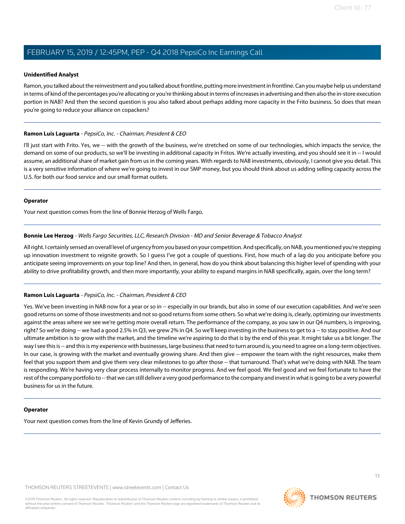#### **Unidentified Analyst**

Ramon, you talked about the reinvestment and you talked about frontline, putting more investment in frontline. Can you maybe help us understand in terms of kind of the percentages you're allocating or you're thinking about in terms of increases in advertising and then also the in-store execution portion in NAB? And then the second question is you also talked about perhaps adding more capacity in the Frito business. So does that mean you're going to reduce your alliance on copackers?

#### **Ramon Luis Laguarta** - PepsiCo, Inc. - Chairman, President & CEO

I'll just start with Frito. Yes, we -- with the growth of the business, we're stretched on some of our technologies, which impacts the service, the demand on some of our products, so we'll be investing in additional capacity in Fritos. We're actually investing, and you should see it in -- I would assume, an additional share of market gain from us in the coming years. With regards to NAB investments, obviously, I cannot give you detail. This is a very sensitive information of where we're going to invest in our SMP money, but you should think about us adding selling capacity across the U.S. for both our food service and our small format outlets.

#### **Operator**

<span id="page-12-0"></span>Your next question comes from the line of Bonnie Herzog of Wells Fargo.

#### **Bonnie Lee Herzog** - Wells Fargo Securities, LLC, Research Division - MD and Senior Beverage & Tobacco Analyst

All right. I certainly sensed an overall level of urgency from you based on your competition. And specifically, on NAB, you mentioned you're stepping up innovation investment to reignite growth. So I guess I've got a couple of questions. First, how much of a lag do you anticipate before you anticipate seeing improvements on your top line? And then, in general, how do you think about balancing this higher level of spending with your ability to drive profitability growth, and then more importantly, your ability to expand margins in NAB specifically, again, over the long term?

#### **Ramon Luis Laguarta** - PepsiCo, Inc. - Chairman, President & CEO

Yes. We've been investing in NAB now for a year or so in -- especially in our brands, but also in some of our execution capabilities. And we're seen good returns on some of those investments and not so good returns from some others. So what we're doing is, clearly, optimizing our investments against the areas where we see we're getting more overall return. The performance of the company, as you saw in our Q4 numbers, is improving, right? So we're doing -- we had a good 2.5% in Q3, we grew 2% in Q4. So we'll keep investing in the business to get to a -- to stay positive. And our ultimate ambition is to grow with the market, and the timeline we're aspiring to do that is by the end of this year. It might take us a bit longer. The way I see this is -- and this is my experience with businesses, large business that need to turn around is, you need to agree on a long-term objectives. In our case, is growing with the market and eventually growing share. And then give -- empower the team with the right resources, make them feel that you support them and give them very clear milestones to go after those -- that turnaround. That's what we're doing with NAB. The team is responding. We're having very clear process internally to monitor progress. And we feel good. We feel good and we feel fortunate to have the rest of the company portfolio to -- that we can still deliver a very good performance to the company and invest in what is going to be a very powerful business for us in the future.

#### **Operator**

Your next question comes from the line of Kevin Grundy of Jefferies.

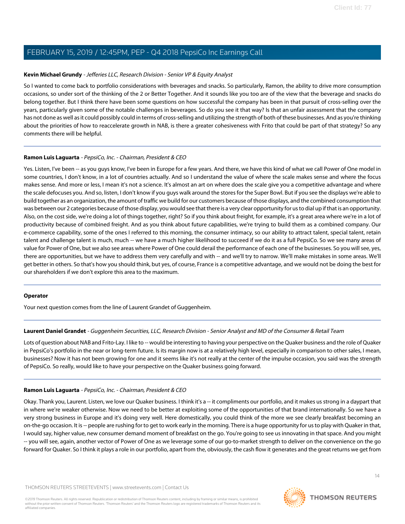#### <span id="page-13-0"></span>**Kevin Michael Grundy** - Jefferies LLC, Research Division - Senior VP & Equity Analyst

So I wanted to come back to portfolio considerations with beverages and snacks. So particularly, Ramon, the ability to drive more consumption occasions, so under sort of the thinking of the 2 or Better Together. And it sounds like you too are of the view that the beverage and snacks do belong together. But I think there have been some questions on how successful the company has been in that pursuit of cross-selling over the years, particularly given some of the notable challenges in beverages. So do you see it that way? Is that an unfair assessment that the company has not done as well as it could possibly could in terms of cross-selling and utilizing the strength of both of these businesses. And as you're thinking about the priorities of how to reaccelerate growth in NAB, is there a greater cohesiveness with Frito that could be part of that strategy? So any comments there will be helpful.

#### **Ramon Luis Laguarta** - PepsiCo, Inc. - Chairman, President & CEO

Yes. Listen, I've been -- as you guys know, I've been in Europe for a few years. And there, we have this kind of what we call Power of One model in some countries, I don't know, in a lot of countries actually. And so I understand the value of where the scale makes sense and where the focus makes sense. And more or less, I mean it's not a science. It's almost an art on where does the scale give you a competitive advantage and where the scale defocuses you. And so, listen, I don't know if you guys walk around the stores for the Super Bowl. But if you see the displays we're able to build together as an organization, the amount of traffic we build for our customers because of those displays, and the combined consumption that was between our 2 categories because of those display, you would see that there is a very clear opportunity for us to dial up if that is an opportunity. Also, on the cost side, we're doing a lot of things together, right? So if you think about freight, for example, it's a great area where we're in a lot of productivity because of combined freight. And as you think about future capabilities, we're trying to build them as a combined company. Our e-commerce capability, some of the ones I referred to this morning, the consumer intimacy, so our ability to attract talent, special talent, retain talent and challenge talent is much, much -- we have a much higher likelihood to succeed if we do it as a full PepsiCo. So we see many areas of value for Power of One, but we also see areas where Power of One could derail the performance of each one of the businesses. So you will see, yes, there are opportunities, but we have to address them very carefully and with -- and we'll try to narrow. We'll make mistakes in some areas. We'll get better in others. So that's how you should think, but yes, of course, France is a competitive advantage, and we would not be doing the best for our shareholders if we don't explore this area to the maximum.

#### <span id="page-13-1"></span>**Operator**

Your next question comes from the line of Laurent Grandet of Guggenheim.

#### **Laurent Daniel Grandet** - Guggenheim Securities, LLC, Research Division - Senior Analyst and MD of the Consumer & Retail Team

Lots of question about NAB and Frito-Lay. I like to -- would be interesting to having your perspective on the Quaker business and the role of Quaker in PepsiCo's portfolio in the near or long-term future. Is its margin now is at a relatively high level, especially in comparison to other sales, I mean, businesses? Now it has not been growing for one and it seems like it's not really at the center of the impulse occasion, you said was the strength of PepsiCo. So really, would like to have your perspective on the Quaker business going forward.

#### **Ramon Luis Laguarta** - PepsiCo, Inc. - Chairman, President & CEO

Okay. Thank you, Laurent. Listen, we love our Quaker business. I think it's a -- it compliments our portfolio, and it makes us strong in a daypart that in where we're weaker otherwise. Now we need to be better at exploiting some of the opportunities of that brand internationally. So we have a very strong business in Europe and it's doing very well. Here domestically, you could think of the more we see clearly breakfast becoming an on-the-go occasion. It is -- people are rushing for to get to work early in the morning. There is a huge opportunity for us to play with Quaker in that, I would say, higher value, new consumer demand moment of breakfast on the go. You're going to see us innovating in that space. And you might -- you will see, again, another vector of Power of One as we leverage some of our go-to-market strength to deliver on the convenience on the go forward for Quaker. So I think it plays a role in our portfolio, apart from the, obviously, the cash flow it generates and the great returns we get from